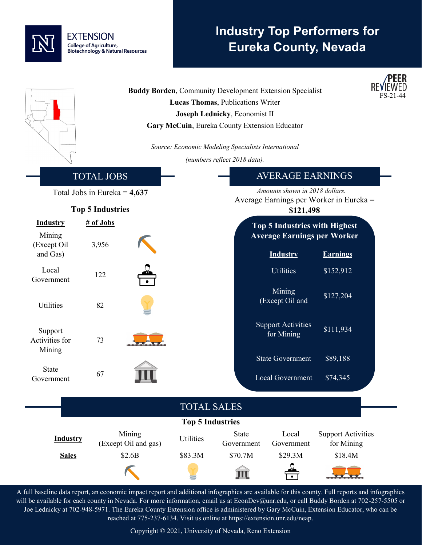## **EXTENSION College of Agriculture, Biotechnology & Natural Resources**

# **Industry Top Performers for Eureka County, Nevada**



A full baseline data report, an economic impact report and additional infographics are available for this county. Full reports and infographics will be available for each county in Nevada. For more information, email us at EconDev@unr.edu, or call Buddy Borden at 702-257-5505 or Joe Lednicky at 702-948-5971. The Eureka County Extension office is administered by Gary McCuin, Extension Educator, who can be reached at 775-237-6134. Visit us online at https://extension.unr.edu/neap.

Copyright © 2021, University of Nevada, Reno Extension